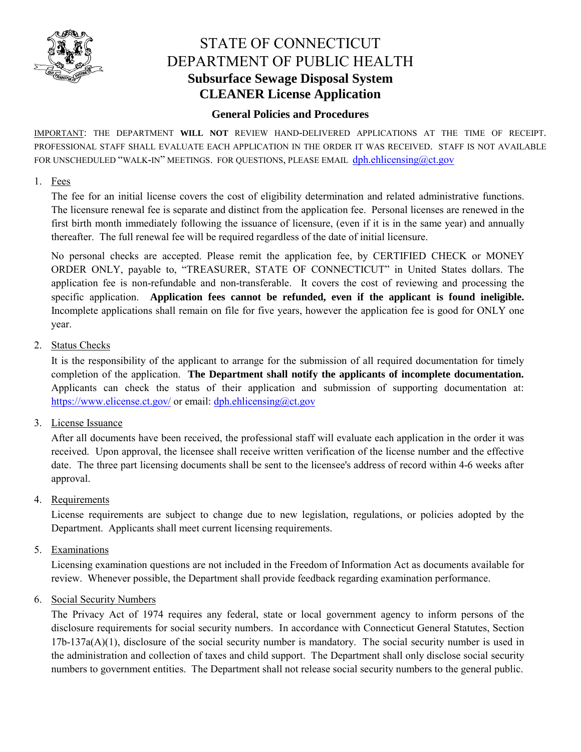

# STATE OF CONNECTICUT DEPARTMENT OF PUBLIC HEALTH **Subsurface Sewage Disposal System CLEANER License Application**

## **General Policies and Procedures**

IMPORTANT: THE DEPARTMENT **WILL NOT** REVIEW HAND-DELIVERED APPLICATIONS AT THE TIME OF RECEIPT. PROFESSIONAL STAFF SHALL EVALUATE EACH APPLICATION IN THE ORDER IT WAS RECEIVED. STAFF IS NOT AVAILABLE FOR UNSCHEDULED "WALK-IN" MEETINGS. FOR QUESTIONS, PLEASE EMAIL dph.ehlicensing@ct.gov

#### 1. Fees

The fee for an initial license covers the cost of eligibility determination and related administrative functions. The licensure renewal fee is separate and distinct from the application fee. Personal licenses are renewed in the first birth month immediately following the issuance of licensure, (even if it is in the same year) and annually thereafter. The full renewal fee will be required regardless of the date of initial licensure.

No personal checks are accepted. Please remit the application fee, by CERTIFIED CHECK or MONEY ORDER ONLY, payable to, "TREASURER, STATE OF CONNECTICUT" in United States dollars. The application fee is non-refundable and non-transferable. It covers the cost of reviewing and processing the specific application. **Application fees cannot be refunded, even if the applicant is found ineligible.** Incomplete applications shall remain on file for five years, however the application fee is good for ONLY one year.

## 2. Status Checks

It is the responsibility of the applicant to arrange for the submission of all required documentation for timely completion of the application. **The Department shall notify the applicants of incomplete documentation.** Applicants can check the status of their application and submission of supporting documentation at: https://www.elicense.ct.gov/ or email: dph.ehlicensing@ct.gov

## 3. License Issuance

After all documents have been received, the professional staff will evaluate each application in the order it was received. Upon approval, the licensee shall receive written verification of the license number and the effective date. The three part licensing documents shall be sent to the licensee's address of record within 4-6 weeks after approval.

4. Requirements

License requirements are subject to change due to new legislation, regulations, or policies adopted by the Department. Applicants shall meet current licensing requirements.

5. Examinations

Licensing examination questions are not included in the Freedom of Information Act as documents available for review. Whenever possible, the Department shall provide feedback regarding examination performance.

6. Social Security Numbers

The Privacy Act of 1974 requires any federal, state or local government agency to inform persons of the disclosure requirements for social security numbers. In accordance with Connecticut General Statutes, Section 17b-137a(A)(1), disclosure of the social security number is mandatory. The social security number is used in the administration and collection of taxes and child support. The Department shall only disclose social security numbers to government entities. The Department shall not release social security numbers to the general public.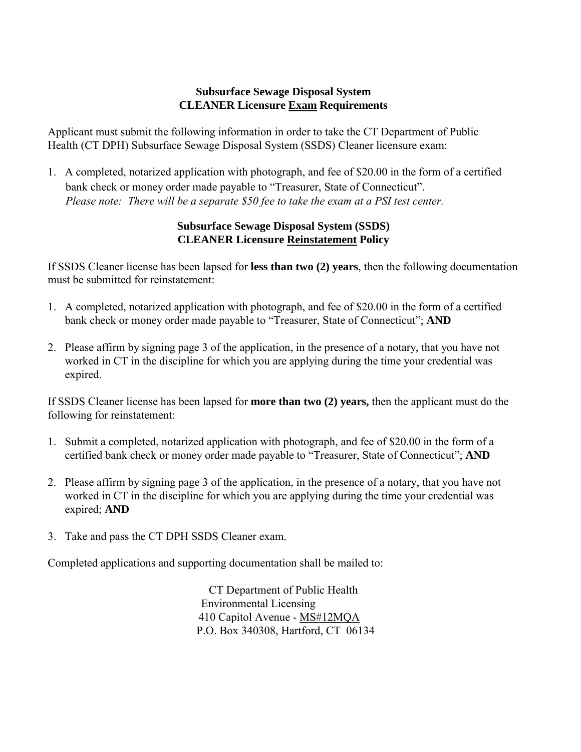## **Subsurface Sewage Disposal System CLEANER Licensure Exam Requirements**

Applicant must submit the following information in order to take the CT Department of Public Health (CT DPH) Subsurface Sewage Disposal System (SSDS) Cleaner licensure exam:

1. A completed, notarized application with photograph, and fee of \$20.00 in the form of a certified bank check or money order made payable to "Treasurer, State of Connecticut". *Please note: There will be a separate \$50 fee to take the exam at a PSI test center.*

# **Subsurface Sewage Disposal System (SSDS) CLEANER Licensure Reinstatement Policy**

If SSDS Cleaner license has been lapsed for **less than two (2) years**, then the following documentation must be submitted for reinstatement:

- 1. A completed, notarized application with photograph, and fee of \$20.00 in the form of a certified bank check or money order made payable to "Treasurer, State of Connecticut"; **AND**
- 2. Please affirm by signing page 3 of the application, in the presence of a notary, that you have not worked in CT in the discipline for which you are applying during the time your credential was expired.

If SSDS Cleaner license has been lapsed for **more than two (2) years,** then the applicant must do the following for reinstatement:

- 1. Submit a completed, notarized application with photograph, and fee of \$20.00 in the form of a certified bank check or money order made payable to "Treasurer, State of Connecticut"; **AND**
- 2. Please affirm by signing page 3 of the application, in the presence of a notary, that you have not worked in CT in the discipline for which you are applying during the time your credential was expired; **AND**
- 3. Take and pass the CT DPH SSDS Cleaner exam.

Completed applications and supporting documentation shall be mailed to:

CT Department of Public Health Environmental Licensing 410 Capitol Avenue - MS#12MQA P.O. Box 340308, Hartford, CT 06134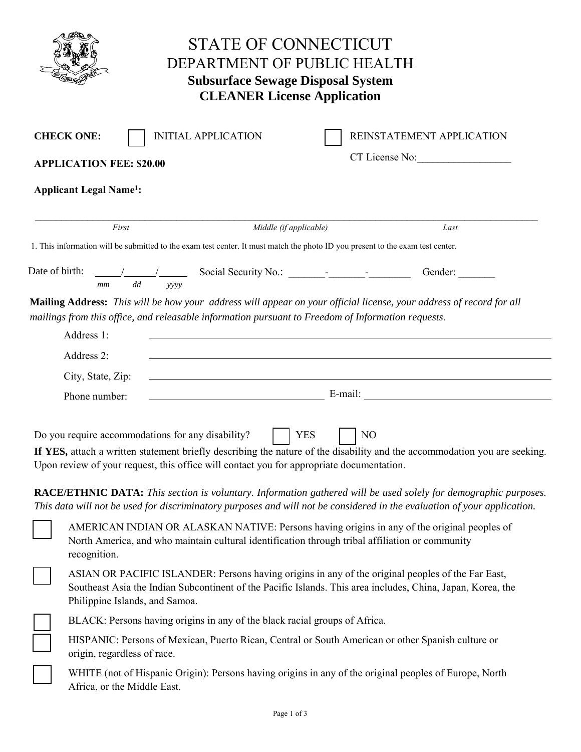| <b>STATE OF CONNECTICUT</b><br>DEPARTMENT OF PUBLIC HEALTH<br><b>Subsurface Sewage Disposal System</b><br><b>CLEANER License Application</b> |                                                                                                                                                                                                                                                                                                                                                                                                                                                                                                                                                                  |  |  |  |
|----------------------------------------------------------------------------------------------------------------------------------------------|------------------------------------------------------------------------------------------------------------------------------------------------------------------------------------------------------------------------------------------------------------------------------------------------------------------------------------------------------------------------------------------------------------------------------------------------------------------------------------------------------------------------------------------------------------------|--|--|--|
|                                                                                                                                              | <b>INITIAL APPLICATION</b><br>REINSTATEMENT APPLICATION<br><b>CHECK ONE:</b><br>CT License No:<br><b>APPLICATION FEE: \$20.00</b><br><b>Applicant Legal Name<sup>1</sup></b> :                                                                                                                                                                                                                                                                                                                                                                                   |  |  |  |
|                                                                                                                                              | First<br>Middle (if applicable)<br>Last<br>1. This information will be submitted to the exam test center. It must match the photo ID you present to the exam test center.                                                                                                                                                                                                                                                                                                                                                                                        |  |  |  |
| Date of birth:                                                                                                                               | Gender:<br>dd<br>mm<br>yyyy                                                                                                                                                                                                                                                                                                                                                                                                                                                                                                                                      |  |  |  |
|                                                                                                                                              | Mailing Address: This will be how your address will appear on your official license, your address of record for all<br>mailings from this office, and releasable information pursuant to Freedom of Information requests.<br>Address 1:<br><u> 1980 - Johann Stoff, deutscher Stoff, der Stoff, der Stoff, der Stoff, der Stoff, der Stoff, der Stoff, der S</u><br>Address 2:<br>City, State, Zip:<br><u> 1989 - Johann Stoff, amerikansk politiker (d. 1989)</u><br>Phone number:                                                                              |  |  |  |
|                                                                                                                                              | Do you require accommodations for any disability?<br><b>YES</b><br>N <sub>O</sub><br>If YES, attach a written statement briefly describing the nature of the disability and the accommodation you are seeking.<br>Upon review of your request, this office will contact you for appropriate documentation.<br><b>RACE/ETHNIC DATA:</b> This section is voluntary. Information gathered will be used solely for demographic purposes.<br>This data will not be used for discriminatory purposes and will not be considered in the evaluation of your application. |  |  |  |
|                                                                                                                                              | AMERICAN INDIAN OR ALASKAN NATIVE: Persons having origins in any of the original peoples of<br>North America, and who maintain cultural identification through tribal affiliation or community<br>recognition.                                                                                                                                                                                                                                                                                                                                                   |  |  |  |
|                                                                                                                                              | ASIAN OR PACIFIC ISLANDER: Persons having origins in any of the original peoples of the Far East,<br>Southeast Asia the Indian Subcontinent of the Pacific Islands. This area includes, China, Japan, Korea, the<br>Philippine Islands, and Samoa.                                                                                                                                                                                                                                                                                                               |  |  |  |
|                                                                                                                                              | BLACK: Persons having origins in any of the black racial groups of Africa.                                                                                                                                                                                                                                                                                                                                                                                                                                                                                       |  |  |  |
|                                                                                                                                              | HISPANIC: Persons of Mexican, Puerto Rican, Central or South American or other Spanish culture or<br>origin, regardless of race.                                                                                                                                                                                                                                                                                                                                                                                                                                 |  |  |  |
|                                                                                                                                              | WHITE (not of Hispanic Origin): Persons having origins in any of the original peoples of Europe, North<br>Africa, or the Middle East.                                                                                                                                                                                                                                                                                                                                                                                                                            |  |  |  |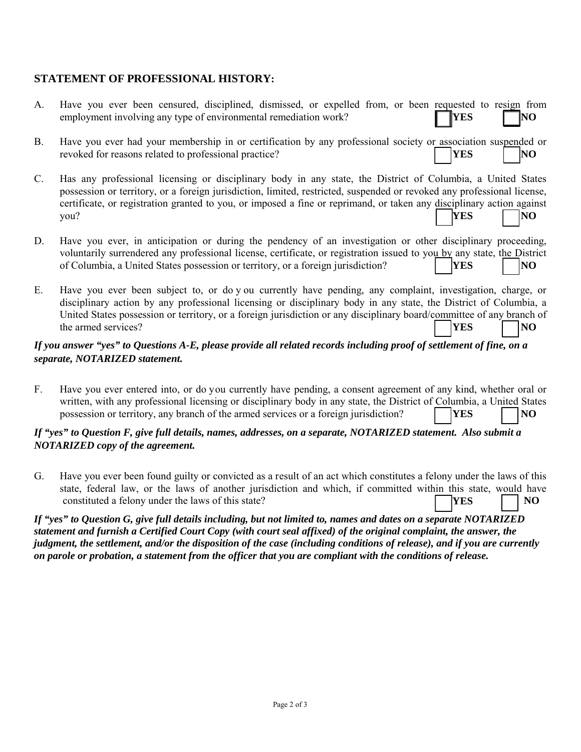# **STATEMENT OF PROFESSIONAL HISTORY:**

| A.                                                                                                                                                     | Have you ever been censured, disciplined, dismissed, or expelled from, or been requested to resign from<br>employment involving any type of environmental remediation work?<br><b>YES</b>                                                                                                                                                                                                               |  |  |  |
|--------------------------------------------------------------------------------------------------------------------------------------------------------|---------------------------------------------------------------------------------------------------------------------------------------------------------------------------------------------------------------------------------------------------------------------------------------------------------------------------------------------------------------------------------------------------------|--|--|--|
| <b>B.</b>                                                                                                                                              | Have you ever had your membership in or certification by any professional society or association suspended or<br>revoked for reasons related to professional practice?<br><b>YES</b><br>N <sub>O</sub>                                                                                                                                                                                                  |  |  |  |
| $C_{\cdot}$                                                                                                                                            | Has any professional licensing or disciplinary body in any state, the District of Columbia, a United States<br>possession or territory, or a foreign jurisdiction, limited, restricted, suspended or revoked any professional license,<br>certificate, or registration granted to you, or imposed a fine or reprimand, or taken any disciplinary action against<br>YES<br>N <sub>O</sub><br>you?        |  |  |  |
| D.                                                                                                                                                     | Have you ever, in anticipation or during the pendency of an investigation or other disciplinary proceeding,<br>voluntarily surrendered any professional license, certificate, or registration issued to you by any state, the District<br>of Columbia, a United States possession or territory, or a foreign jurisdiction?<br><b>YES</b><br> NO                                                         |  |  |  |
| Е.                                                                                                                                                     | Have you ever been subject to, or do y ou currently have pending, any complaint, investigation, charge, or<br>disciplinary action by any professional licensing or disciplinary body in any state, the District of Columbia, a<br>United States possession or territory, or a foreign jurisdiction or any disciplinary board/committee of any branch of<br>the armed services?<br>YES<br>N <sub>O</sub> |  |  |  |
| If you answer "yes" to Questions A-E, please provide all related records including proof of settlement of fine, on a<br>separate, NOTARIZED statement. |                                                                                                                                                                                                                                                                                                                                                                                                         |  |  |  |
| $F_{\cdot}$                                                                                                                                            | Have you ever entered into, or do you currently have pending, a consent agreement of any kind, whether oral or<br>written, with any professional licensing or disciplinary body in any state, the District of Columbia, a United States<br>possession or territory, any branch of the armed services or a foreign jurisdiction?<br><b>YES</b><br>NO                                                     |  |  |  |

#### *If "yes" to Question F, give full details, names, addresses, on a separate, NOTARIZED statement. Also submit a NOTARIZED copy of the agreement.*

G. Have you ever been found guilty or convicted as a result of an act which constitutes a felony under the laws of this state, federal law, or the laws of another jurisdiction and which, if committed within this state, would have constituted a felony under the laws of this state? **YES NO** 

*If "yes" to Question G, give full details including, but not limited to, names and dates on a separate NOTARIZED statement and furnish a Certified Court Copy (with court seal affixed) of the original complaint, the answer, the judgment, the settlement, and/or the disposition of the case (including conditions of release), and if you are currently on parole or probation, a statement from the officer that you are compliant with the conditions of release.*